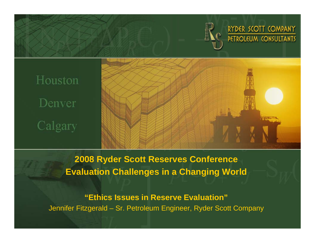

RYDER SCOTT COMPANY **PETROLEUM CONSULTANTS** 

# Houston Denver Calgary



**2008 Ryder Scott Reserves Conference Evaluation Challenges in a Changing World**

**"Ethics Issues in Reserve Evaluation"** Jennifer Fitzgerald – Sr. Petroleum Engineer, Ryder Scott Company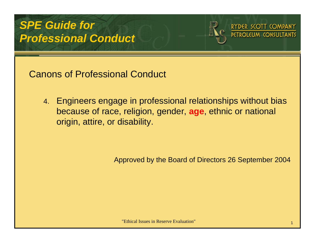# *SPE Guide for Professional Conduct*





Canons of Professional Conduct

4. Engineers engage in professional relationships without bias because of race, religion, gender, **age**, ethnic or national origin, attire, or disability.

Approved by the Board of Directors 26 September 2004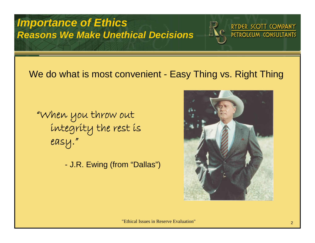*Importance of Ethics Reasons We Make Unethical Decisions*



RYDER SCOTT COMPANY PETROLEUM CONSULTANTS

#### We do what is most convenient - Easy Thing vs. Right Thing

"When you throw out integrity the rest is easy."

J.R. Ewing (from "Dallas")

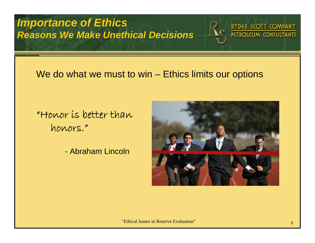*Importance of Ethics Reasons We Make Unethical Decisions*



RYDER SCOTT COMPANY PETROLEUM CONSULTANTS

#### We do what we must to win – Ethics limits our options

"Honor is better than honors."

- Abraham Lincoln

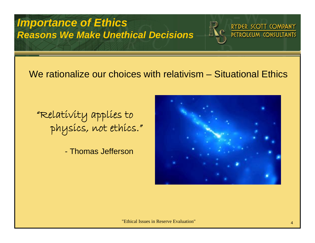#### *Importance of Ethics Reasons We Make Unethical Decisions*



RYDER SCOTT COMPANY **PETROLEUM CONSULTANTS** 

#### We rationalize our choices with relativism – Situational Ethics

"Relativity applies to physics, not ethics."

- Thomas Jefferson

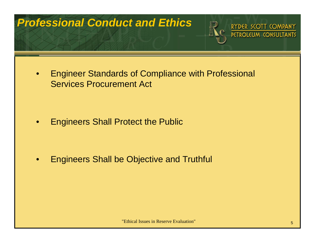### *Professional Conduct and Ethics*



RYDER SCOTT COMPANY **PETROLEUM CONSULTANTS** 

 $\bullet$  Engineer Standards of Compliance with Professional Services Procurement Act

•Engineers Shall Protect the Public

 $\bullet$ Engineers Shall be Objective and Truthful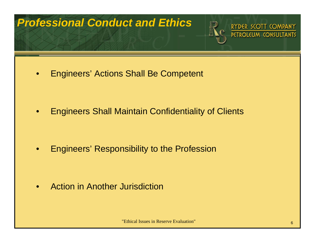#### *Professional Conduct and Ethics*



RYDER SCOTT COMPANY

 $\bullet$ Engineers' Actions Shall Be Competent

•Engineers Shall Maintain Confidentiality of Clients

•Engineers' Responsibility to the Profession

 $\bullet$ Action in Another Jurisdiction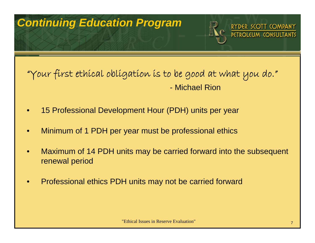### *Continuing Education Program*



RYDER SCOTT COMPANY

#### "Your first ethical obligation is to be good at what you do." - Michael Rion

- •15 Professional Development Hour (PDH) units per year
- •Minimum of 1 PDH per year must be professional ethics
- • Maximum of 14 PDH units may be carried forward into the subsequent renewal period
- •Professional ethics PDH units may not be carried forward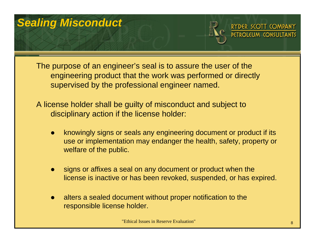## *Sealing Misconduct*



DER SCOTT COMPANY

The purpose of an engineer's seal is to assure the user of the engineering product that the work was performed or directly supervised by the professional engineer named.

A license holder shall be guilty of misconduct and subject to disciplinary action if the license holder:

- $\bullet$  knowingly signs or seals any engineering document or product if its use or implementation may endanger the health, safety, property or welfare of the public.
- $\bullet$  signs or affixes a seal on any document or product when the license is inactive or has been revoked, suspended, or has expired.
- $\bullet$  alters a sealed document without proper notification to the responsible license holder.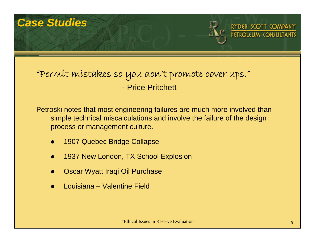#### *Case Studies*



#### "Permit mistakes so you don't promote cover ups." - Price Pritchett

Petroski notes that most engineering failures are much more involved than simple technical miscalculations and involve the failure of the design process or management culture.

- $\bullet$ 1907 Quebec Bridge Collapse
- $\bullet$ 1937 New London, TX School Explosion
- $\bullet$ Oscar Wyatt Iraqi Oil Purchase
- $\bullet$ Louisiana – Valentine Field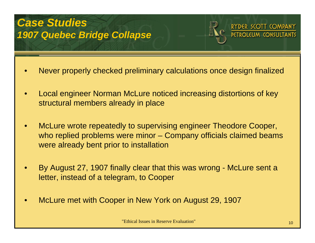#### *Case Studies 1907 Quebec Bridge Collapse*



DER SCOTT COMPANY

- •Never properly checked preliminary calculations once design finalized
- • Local engineer Norman McLure noticed increasing distortions of key structural members already in place
- • McLure wrote repeatedly to supervising engineer Theodore Cooper, who replied problems were minor – Company officials claimed beams were already bent prior to installation
- • By August 27, 1907 finally clear that this was wrong - McLure sent a letter, instead of a telegram, to Cooper
- •McLure met with Cooper in New York on August 29, 1907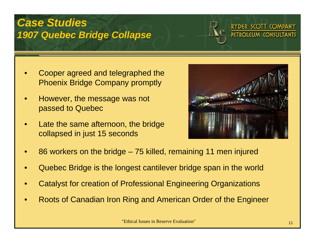#### *Case Studies 1907 Quebec Bridge Collapse*



#### RYDER SCOTT COMPANY **DETROLELIM CONSLILTANTS**

- • Cooper agreed and telegraphed the Phoenix Bridge Company promptly
- • However, the message was not passed to Quebec
- • Late the same afternoon, the bridge collapsed in just 15 seconds



- •86 workers on the bridge – 75 killed, remaining 11 men injured
- •Quebec Bridge is the longest cantilever bridge span in the world
- •Catalyst for creation of Professional Engineering Organizations
- •Roots of Canadian Iron Ring and American Order of the Engineer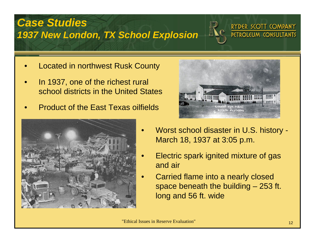### *Case Studies 1937 New London, TX School Explosion*



RYDER SCOTT COMPANY PETROLEUM CONSULTANTS

- •Located in northwest Rusk County
- • In 1937, one of the richest rural school districts in the United States
- •Product of the East Texas oilfields





- Worst school disaster in U.S. history March 18, 1937 at 3:05 p.m.
- Electric spark ignited mixture of gas and air
- • Carried flame into a nearly closed space beneath the building – 253 ft. long and 56 ft. wide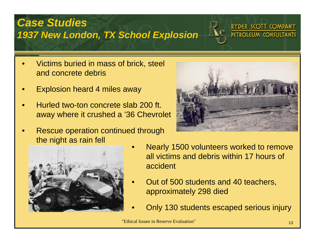### *Case Studies 1937 New London, TX School Explosion*



RYDER SCOTT COMPANY PETROLEUM CONSULTANTS

- • Victims buried in mass of brick, steel and concrete debris
- •Explosion heard 4 miles away
- • Hurled two-ton concrete slab 200 ft. away where it crushed a '36 Chevrolet
- • Rescue operation continued through the night as rain fell





- Nearly 1500 volunteers worked to remove all victims and debris within 17 hours of accident
- Out of 500 students and 40 teachers, approximately 298 died
- Only 130 students escaped serious injury

•

•

•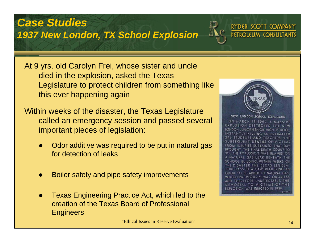#### *Case Studies 1937 New London, TX School Explosion*



At 9 yrs. old Carolyn Frei, whose sister and uncle died in the explosion, asked the Texas Legislature to protect children from something like this ever happening again

Within weeks of the disaster, the Texas Legislature called an emergency session and passed several important pieces of legislation:

- $\bullet$  Odor additive was required to be put in natural gas for detection of leaks
- $\bullet$ Boiler safety and pipe safety improvements
- $\bullet$  Texas Engineering Practice Act, which led to the creation of the Texas Board of Professional **Engineers**



RYDER SCOTT COMPANY **PETROLEUM CONSULTANTS** 

**NEW LONDON SCHOOL EXPLOSION** ON MARCH 18, 1937, A MASSIVE EXPLOSION DESTROYED THE NEW LONDON JUNIOR-SENIOR HIGH SCHOOL. INSTANTLY KILLING AN ESTIMATED 296 STUDENTS AND TEACHERS. SUBSEQUENT DEATHS OF VICTIMS FROM INJURIES SUSTAINED THAT DAY BROUGHT THE FINAL DEATH COUNT TO 311. THE EXPLOSION WAS BLAMED ON A NATURAL GAS LEAK BENEATH SCHOOL BUILDING. WITHIN WEEKS OF THE DISASTER THE TEXAS LEGISLA TURE PASSED A LAW REQUIRING AN ODOR TO BE ADDED TO NATURAL GAS. WHICH PREVIOUSLY WAS ODORLESS AND THEREFORE UNDETECTABLE. THIS MEMORIAL TO VICTIMS OF THE EXPLOSION WAS EREGTED IN 1939.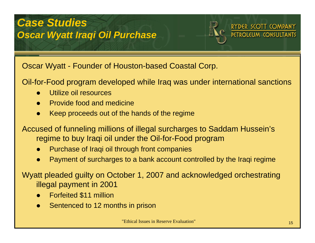

RYDER SCOTT COMPANY

Oscar Wyatt - Founder of Houston-based Coastal Corp.

Oil-for-Food program developed while Iraq was under international sanctions

- $\bullet$ Utilize oil resources
- $\bullet$ Provide food and medicine
- $\bullet$ Keep proceeds out of the hands of the regime

Accused of funneling millions of illegal surcharges to Saddam Hussein's regime to buy Iraqi oil under the Oil-for-Food program

- $\bullet$ Purchase of Iraqi oil through front companies
- $\bullet$ Payment of surcharges to a bank account controlled by the Iraqi regime

Wyatt pleaded guilty on October 1, 2007 and acknowledged orchestrating illegal payment in 2001

- $\bullet$ Forfeited \$11 million
- $\bullet$ Sentenced to 12 months in prison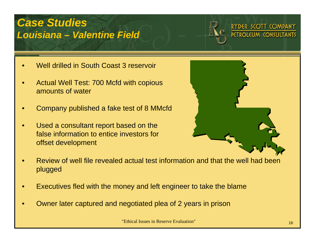#### *Case Studies Louisiana – Valentine Field*



#### RYDER SCOTT COMPANY PETROLEUM CONSULTANTS

- •Well drilled in South Coast 3 reservoir
- • Actual Well Test: 700 Mcfd with copious amounts of water
- •Company published a fake test of 8 MMcfd
- • Used a consultant report based on the false information to entice investors for offset development



- • Review of well file revealed actual test information and that the well had been plugged
- •Executives fled with the money and left engineer to take the blame
- •Owner later captured and negotiated plea of 2 years in prison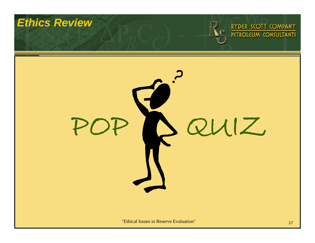#### *Ethics Review*



# RYDER SCOTT COMPANY

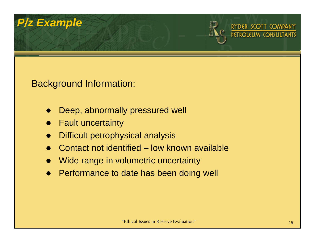

SCOTT COMPANY

#### Background Information:

- $\bullet$ Deep, abnormally pressured well
- $\bullet$ Fault uncertainty
- $\bullet$ Difficult petrophysical analysis
- $\bullet$ Contact not identified – low known available
- $\bullet$ Wide range in volumetric uncertainty
- $\bullet$ Performance to date has been doing well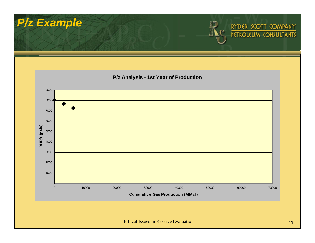

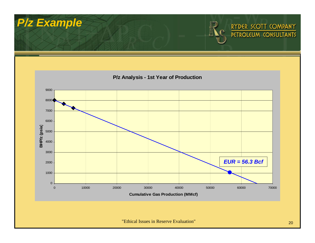

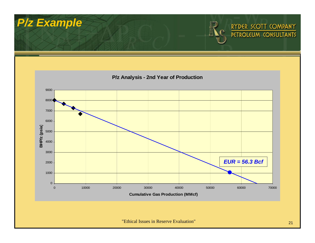

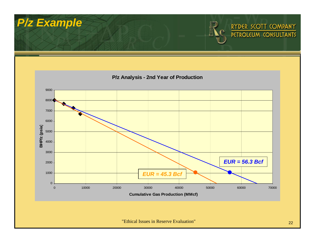

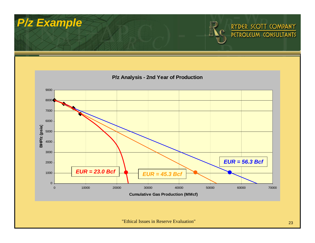

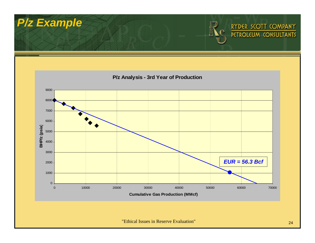

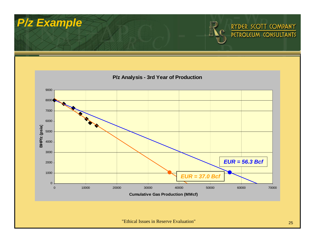

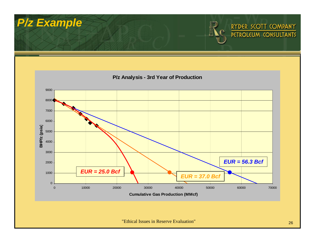

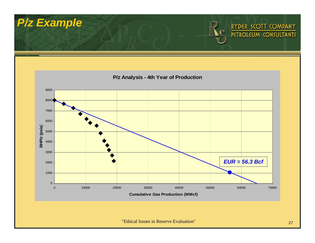

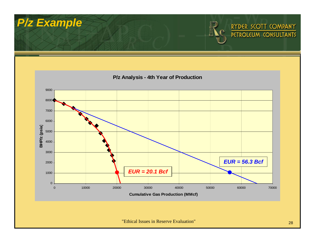

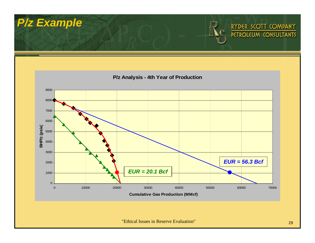

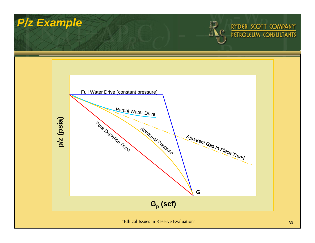

#### RYDER SCOTT COMPANY PETROLEUM CONSULTANTS

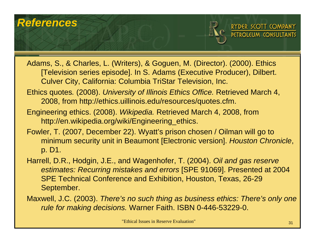#### *References*



RYDER SCOTT COMPANY

- Adams, S., & Charles, L. (Writers), & Goguen, M. (Director). (2000). Ethics [Television series episode]. In S. Adams (Executive Producer), Dilbert. Culver City, California: Columbia TriStar Television, Inc.
- Ethics quotes*.* (2008). *University of Illinois Ethics Office.* Retrieved March 4, 2008, from http://ethics.uillinois.edu/resources/quotes.cfm.
- Engineering ethics. (2008). *Wikipedia.* Retrieved March 4, 2008, from http://en.wikipedia.org/wiki/Engineering\_ethics.
- Fowler, T. (2007, December 22). Wyatt's prison chosen / Oilman will go to minimum security unit in Beaumont [Electronic version]. *Houston Chronicle*, p. D1.
- Harrell, D.R., Hodgin, J.E., and Wagenhofer, T. (2004). *Oil and gas reserve estimates: Recurring mistakes and errors* [SPE 91069]. Presented at 2004 SPE Technical Conference and Exhibition, Houston, Texas, 26-29 September.
- Maxwell, J.C. (2003). *There's no such thing as business ethics: There's only one rule for making decisions.* Warner Faith. ISBN 0-446-53229-0.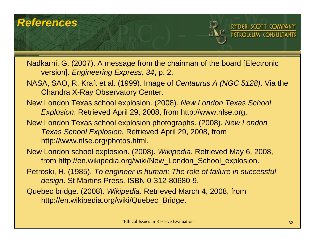#### *References*



RYDER SCOTT COMPANY

Nadkarni, G. (2007). A message from the chairman of the board [Electronic version]. *Engineering Express, 34*, p. 2.

- NASA, SAO, R. Kraft et al. (1999). Image of *Centaurus A (NGC 5128)*. Via the Chandra X-Ray Observatory Center.
- New London Texas school explosion. (2008). *New London Texas School Explosion*. Retrieved April 29, 2008, from http://www.nlse.org.
- New London Texas school explosion photographs. (2008). *New London Texas School Explosion.* Retrieved April 29, 2008, from http://www.nlse.org/photos.html.
- New London school explosion. (2008). *Wikipedia*. Retrieved May 6, 2008, from http://en.wikipedia.org/wiki/New\_London\_School\_explosion.
- Petroski, H. (1985). *To engineer is human: The role of failure in successful design*. St Martins Press. ISBN 0-312-80680-9.
- Quebec bridge. (2008). *Wikipedia.* Retrieved March 4, 2008, from http://en.wikipedia.org/wiki/Quebec\_Bridge.